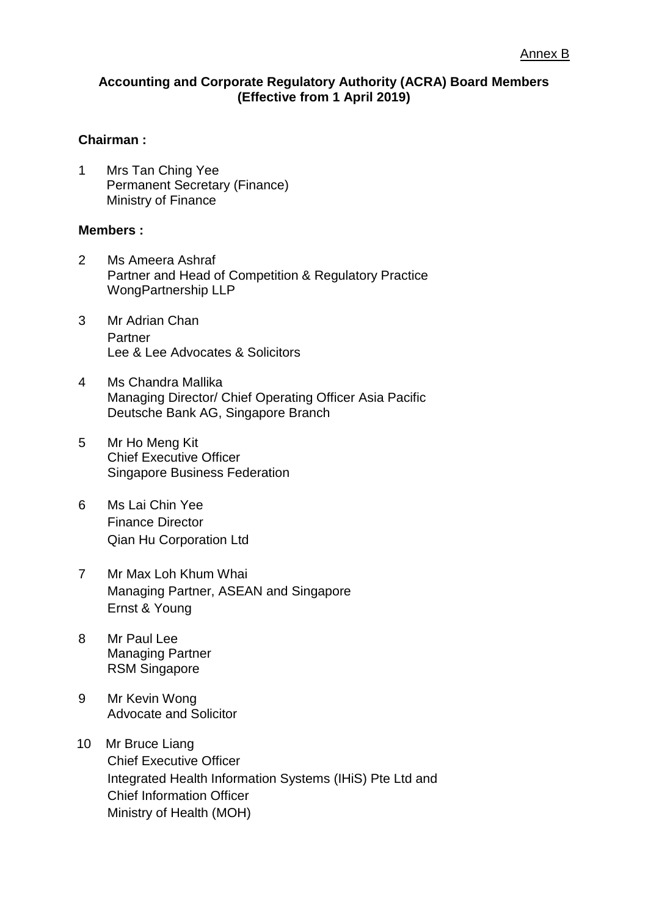## **Accounting and Corporate Regulatory Authority (ACRA) Board Members (Effective from 1 April 2019)**

## **Chairman :**

1 Mrs Tan Ching Yee Permanent Secretary (Finance) Ministry of Finance

## **Members :**

- 2 Ms Ameera Ashraf Partner and Head of Competition & Regulatory Practice WongPartnership LLP
- 3 Mr Adrian Chan Partner Lee & Lee Advocates & Solicitors
- 4 Ms Chandra Mallika Managing Director/ Chief Operating Officer Asia Pacific Deutsche Bank AG, Singapore Branch
- 5 Mr Ho Meng Kit Chief Executive Officer Singapore Business Federation
- 6 Ms Lai Chin Yee Finance Director Qian Hu Corporation Ltd
- 7 Mr Max Loh Khum Whai Managing Partner, ASEAN and Singapore Ernst & Young
- 8 Mr Paul Lee Managing Partner RSM Singapore
- 9 Mr Kevin Wong Advocate and Solicitor
- 10 Mr Bruce Liang Chief Executive Officer Integrated Health Information Systems (IHiS) Pte Ltd and Chief Information Officer Ministry of Health (MOH)